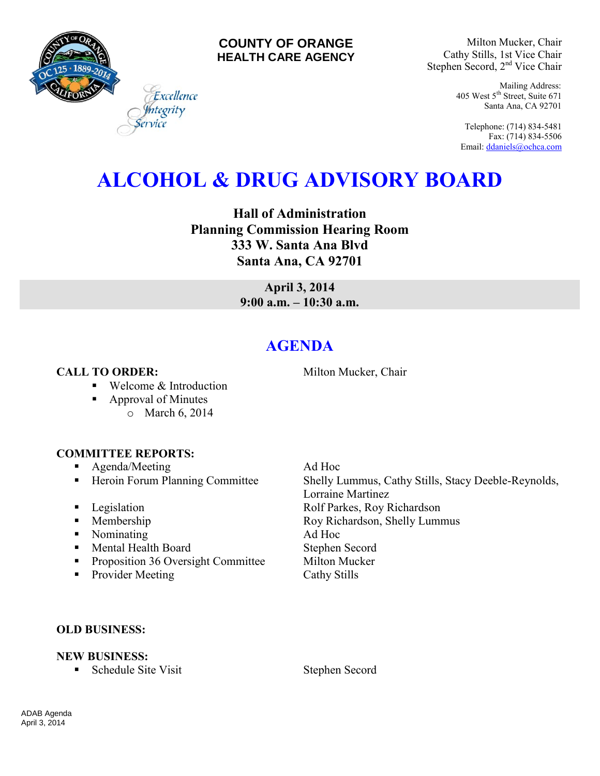

#### **COUNTY OF ORANGE HEALTH CARE AGENCY**

Milton Mucker, Chair Cathy Stills, 1st Vice Chair Stephen Secord, 2<sup>nd</sup> Vice Chair

> Mailing Address: 405 West 5th Street, Suite 671 Santa Ana, CA 92701

Telephone: (714) 834-5481 Fax: (714) 834-5506 Email[: ddaniels@ochca.com](mailto:ddaniels@ochca.com)

# **ALCOHOL & DRUG ADVISORY BOARD**

**Hall of Administration Planning Commission Hearing Room 333 W. Santa Ana Blvd Santa Ana, CA 92701** 

> **April 3, 2014 9:00 a.m. – 10:30 a.m.**

## **AGENDA**

### **CALL TO ORDER:** Milton Mucker, Chair

■ Welcome & Introduction

Excellence egrity

- Approval of Minutes
	- o March 6, 2014

#### **COMMITTEE REPORTS:**

- **Agenda/Meeting Ad Hoc**
- 
- 
- 
- Nominating Ad Hoc
- Mental Health Board Stephen Secord
- **Proposition 36 Oversight Committee Milton Mucker**
- Provider Meeting Cathy Stills

■ Heroin Forum Planning Committee Shelly Lummus, Cathy Stills, Stacy Deeble-Reynolds, Lorraine Martinez **Example 3** Legislation **Rolf Parkes, Roy Richardson** • Membership Roy Richardson, Shelly Lummus

#### **OLD BUSINESS:**

#### **NEW BUSINESS:**

**s** Schedule Site Visit **b** Stephen Secord